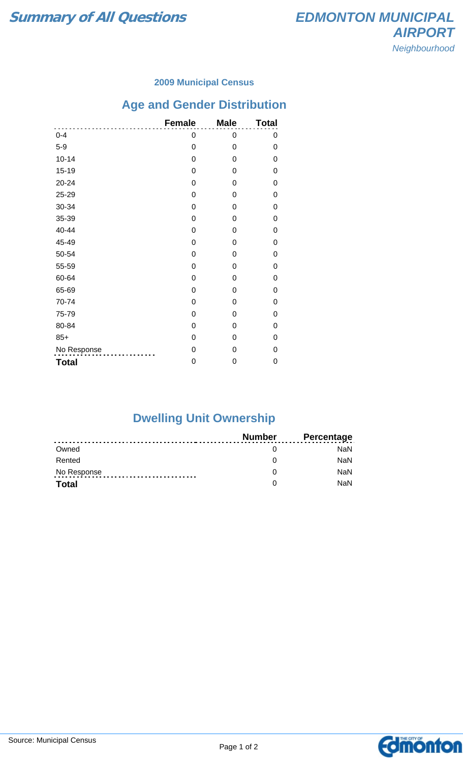### **2009 Municipal Census**

# **Age and Gender Distribution**

|              | <b>Female</b>    | <b>Male</b>    | <b>Total</b> |
|--------------|------------------|----------------|--------------|
| $0 - 4$      | 0                | 0              | 0            |
| $5-9$        | $\mathbf 0$      | 0              | 0            |
| $10 - 14$    | $\boldsymbol{0}$ | 0              | 0            |
| $15 - 19$    | $\boldsymbol{0}$ | $\mathbf 0$    | 0            |
| 20-24        | 0                | $\Omega$       | 0            |
| 25-29        | 0                | 0              | 0            |
| 30-34        | 0                | 0              | 0            |
| 35-39        | $\mathbf 0$      | 0              | 0            |
| 40-44        | $\mathbf 0$      | $\mathbf 0$    | 0            |
| 45-49        | 0                | $\Omega$       | 0            |
| 50-54        | 0                | $\Omega$       | 0            |
| 55-59        | $\boldsymbol{0}$ | $\Omega$       | 0            |
| 60-64        | $\mathbf 0$      | $\overline{0}$ | 0            |
| 65-69        | 0                | $\Omega$       | 0            |
| 70-74        | 0                | 0              | 0            |
| 75-79        | 0                | 0              | 0            |
| 80-84        | $\mathbf 0$      | 0              | 0            |
| $85+$        | $\mathbf 0$      | 0              | 0            |
| No Response  | $\mathbf 0$      | $\Omega$       | 0            |
| <b>Total</b> | 0                | 0              | 0            |

## **Dwelling Unit Ownership**

|              | Number | <b>Percentage</b> |
|--------------|--------|-------------------|
| Owned        |        | NaN.              |
| Rented       |        | <b>NaN</b>        |
| No Response  |        | <b>NaN</b>        |
| <b>Total</b> |        | <b>NaN</b>        |